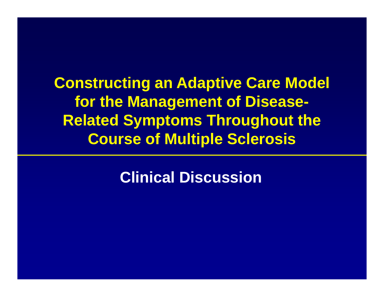**Constructing an Adaptive Care Model for the Management of Disease-Related Symptoms Throughout the Course of Multiple Sclerosis**

**Clinical Discussion**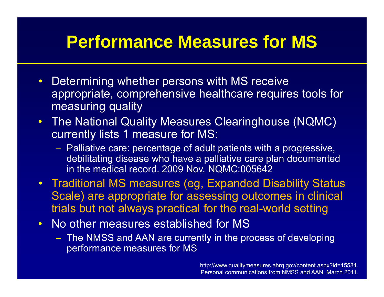#### **Performance Measures for MS**

- $\bullet$  Determining whether persons with MS receive appropriate, comprehensive healthcare requires tools for measuring quality
- The National Quality Measures Clearinghouse (NQMC) currently lists 1 measure for MS:
	- $-$  Palliative care: percentage of adult patients with a progressive,  $\,$ debilitating disease who have a palliative care plan documented in the medical record. 2009 Nov. NQMC:005642
- Traditional MS measures (eg, Expanded Disability Status Scale) are appropriate for assessing outcomes in clinical trials but not always practical for the real-world setting
- $\bullet$  No other measures established for MS
	- The NMSS and AAN are currently in the process of developing performance measures for MS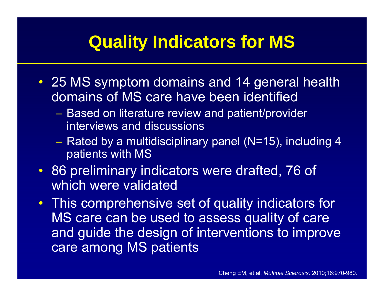#### **Quality Indicators for MS**

- 25 MS symptom domains and 14 general health domains of MS care have been identified
	- Based on literature review and patient/provider interviews and discussions
	- Rated by a multidisciplinary panel (N=15), including 4 patients with MS
- 86 preliminary indicators were drafted, 76 of which were validated
- This comprehensive set of quality indicators for MS care can be used to assess quality of care and guide the design of interventions to improve care among MS patients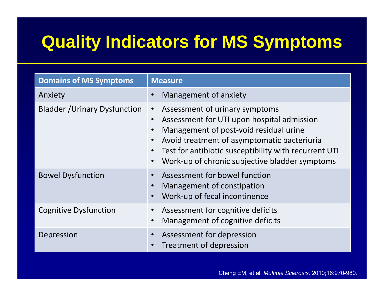## **Quality Indicators for MS Symptoms**

| <b>Domains of MS Symptoms</b>        | <b>Measure</b>                                                                                                                                                                                                                                                                                |
|--------------------------------------|-----------------------------------------------------------------------------------------------------------------------------------------------------------------------------------------------------------------------------------------------------------------------------------------------|
| Anxiety                              | Management of anxiety                                                                                                                                                                                                                                                                         |
| <b>Bladder / Urinary Dysfunction</b> | Assessment of urinary symptoms<br>$\bullet$<br>Assessment for UTI upon hospital admission<br>Management of post-void residual urine<br>Avoid treatment of asymptomatic bacteriuria<br>Test for antibiotic susceptibility with recurrent UTI<br>Work-up of chronic subjective bladder symptoms |
| <b>Bowel Dysfunction</b>             | Assessment for bowel function<br>Management of constipation<br>$\bullet$<br>Work-up of fecal incontinence                                                                                                                                                                                     |
| <b>Cognitive Dysfunction</b>         | Assessment for cognitive deficits<br>Management of cognitive deficits                                                                                                                                                                                                                         |
| Depression                           | Assessment for depression<br>Treatment of depression                                                                                                                                                                                                                                          |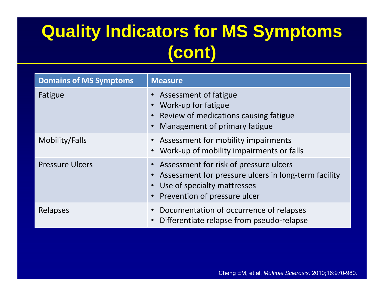# **Quality Indicators for MS Symptoms (cont)**

| <b>Domains of MS Symptoms</b> | <b>Measure</b>                                                                                                                                                      |
|-------------------------------|---------------------------------------------------------------------------------------------------------------------------------------------------------------------|
| Fatigue                       | • Assessment of fatigue<br>Work-up for fatigue<br>• Review of medications causing fatigue<br><b>Management of primary fatigue</b>                                   |
| Mobility/Falls                | • Assessment for mobility impairments<br>• Work-up of mobility impairments or falls                                                                                 |
| <b>Pressure Ulcers</b>        | • Assessment for risk of pressure ulcers<br>Assessment for pressure ulcers in long-term facility<br>• Use of specialty mattresses<br>• Prevention of pressure ulcer |
| Relapses                      | • Documentation of occurrence of relapses<br>Differentiate relapse from pseudo-relapse                                                                              |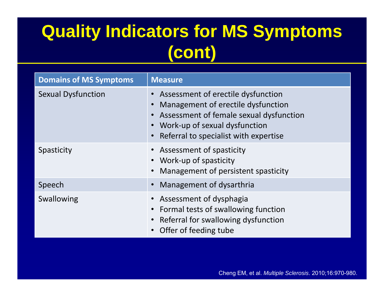## **Quality Indicators for MS Symptoms (cont)**

| <b>Domains of MS Symptoms</b> | <b>Measure</b>                                                                                                                                                                                    |
|-------------------------------|---------------------------------------------------------------------------------------------------------------------------------------------------------------------------------------------------|
| <b>Sexual Dysfunction</b>     | Assessment of erectile dysfunction<br>Management of erectile dysfunction<br>• Assessment of female sexual dysfunction<br>• Work-up of sexual dysfunction<br>Referral to specialist with expertise |
| Spasticity                    | • Assessment of spasticity<br>• Work-up of spasticity<br>Management of persistent spasticity                                                                                                      |
| Speech                        | Management of dysarthria                                                                                                                                                                          |
| Swallowing                    | • Assessment of dysphagia<br>• Formal tests of swallowing function<br>• Referral for swallowing dysfunction<br>• Offer of feeding tube                                                            |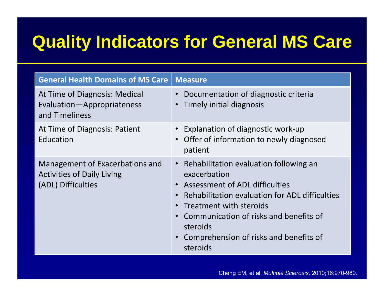#### **Quality Indicators for General MS Care**

| <b>General Health Domains of MS Care</b>                                                   | <b>Measure</b>                                                                                                                                                                                                                                                                                                      |  |  |
|--------------------------------------------------------------------------------------------|---------------------------------------------------------------------------------------------------------------------------------------------------------------------------------------------------------------------------------------------------------------------------------------------------------------------|--|--|
| At Time of Diagnosis: Medical<br>Evaluation-Appropriateness<br>and Timeliness              | Documentation of diagnostic criteria<br>$\bullet$<br>Timely initial diagnosis<br>$\bullet$                                                                                                                                                                                                                          |  |  |
| At Time of Diagnosis: Patient<br>Education                                                 | • Explanation of diagnostic work-up<br>• Offer of information to newly diagnosed<br>patient                                                                                                                                                                                                                         |  |  |
| Management of Exacerbations and<br><b>Activities of Daily Living</b><br>(ADL) Difficulties | • Rehabilitation evaluation following an<br>exacerbation<br>• Assessment of ADL difficulties<br>• Rehabilitation evaluation for ADL difficulties<br>• Treatment with steroids<br>Communication of risks and benefits of<br>$\bullet$<br>steroids<br>Comprehension of risks and benefits of<br>$\bullet$<br>steroids |  |  |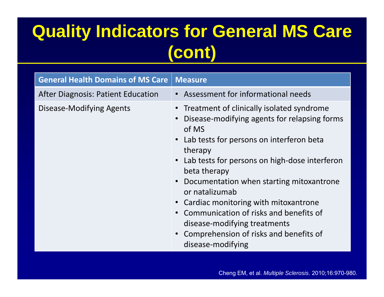## **Quality Indicators for General MS Care (cont)**

| <b>General Health Domains of MS Care</b>  | <b>Measure</b>                                                                                                                                                                                                                                                                                                                                                            |
|-------------------------------------------|---------------------------------------------------------------------------------------------------------------------------------------------------------------------------------------------------------------------------------------------------------------------------------------------------------------------------------------------------------------------------|
| <b>After Diagnosis: Patient Education</b> | • Assessment for informational needs                                                                                                                                                                                                                                                                                                                                      |
| Disease-Modifying Agents                  | • Treatment of clinically isolated syndrome<br>Disease-modifying agents for relapsing forms<br>of MS                                                                                                                                                                                                                                                                      |
|                                           | • Lab tests for persons on interferon beta<br>therapy<br>• Lab tests for persons on high-dose interferon<br>beta therapy<br>Documentation when starting mitoxantrone<br>or natalizumab<br>• Cardiac monitoring with mitoxantrone<br>Communication of risks and benefits of<br>disease-modifying treatments<br>Comprehension of risks and benefits of<br>disease-modifying |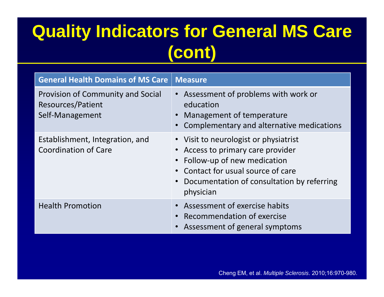### **Quality Indicators for General MS Care (cont)**

| <b>General Health Domains of MS Care</b>                                  | Measure <sup>'</sup>                                                                                                                                                                                   |
|---------------------------------------------------------------------------|--------------------------------------------------------------------------------------------------------------------------------------------------------------------------------------------------------|
| Provision of Community and Social<br>Resources/Patient<br>Self-Management | • Assessment of problems with work or<br>education<br>Management of temperature<br>Complementary and alternative medications                                                                           |
| Establishment, Integration, and<br><b>Coordination of Care</b>            | • Visit to neurologist or physiatrist<br>Access to primary care provider<br>Follow-up of new medication<br>Contact for usual source of care<br>Documentation of consultation by referring<br>physician |
| <b>Health Promotion</b>                                                   | • Assessment of exercise habits<br>Recommendation of exercise<br>Assessment of general symptoms                                                                                                        |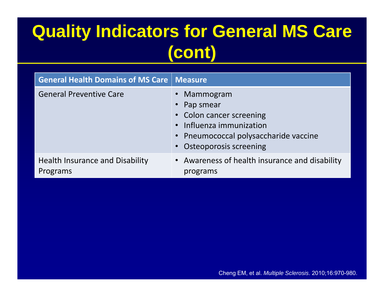# **Quality Indicators for General MS Care (cont)**

| <b>General Health Domains of MS Care   Measure</b> |                                                                                                                                                          |
|----------------------------------------------------|----------------------------------------------------------------------------------------------------------------------------------------------------------|
| <b>General Preventive Care</b>                     | Mammogram<br>Pap smear<br>• Colon cancer screening<br>• Influenza immunization<br>• Pneumococcal polysaccharide vaccine<br><b>Osteoporosis screening</b> |
| <b>Health Insurance and Disability</b><br>Programs | • Awareness of health insurance and disability<br>programs                                                                                               |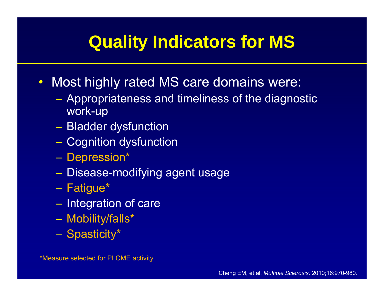#### **Quality Indicators for MS**

- • Most highly rated MS care domains were:
	- Appropriateness and timeliness of the diagnostic work-up
	- –Bladder dysfunction
	- Cognition dysfunction
	- Depression\*
	- Disease-modifying agent usage
	- –– Fatigue\*
	- $-$  Integration of care
	- Mobility/falls\*
	- Spasticity\*

\*Measure selected for PI CME activity.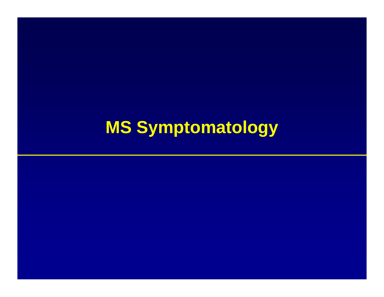# **MS Symptomatology**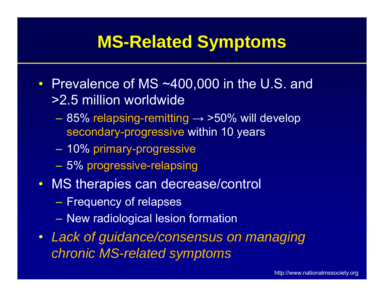#### **MS-Related Symptoms**

- Prevalence of MS ~400,000 in the U.S. and >2.5 million worldwide
	- 85% relapsing-remitting  $\rightarrow$  >50% will develop secondary-progressive within 10 years
	- $\mathcal{L}_{\mathcal{A}}$ 10% primary-progressive
	- 5% progressive-relapsing
- MS therapies can decrease/control
	- $-$  Frequency of relapses
	- $\mathcal{L}_{\mathcal{A}}$ New radiological lesion formation
- Lack of guidance/consensus on managing *chronic MS-related symptoms*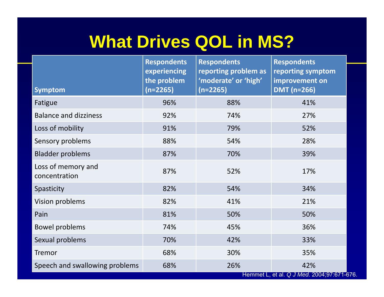#### **What Drives QOL in MS?**

|                                     | <b>Respondents</b><br><b>Respondents</b> |                                              | <b>Respondents</b>                                |  |
|-------------------------------------|------------------------------------------|----------------------------------------------|---------------------------------------------------|--|
|                                     | experiencing<br>the problem              | reporting problem as<br>'moderate' or 'high' | reporting symptom<br>improvement on               |  |
| <b>Symptom</b>                      | $(n=2265)$                               | $(n=2265)$                                   | <b>DMT</b> (n=266)                                |  |
| Fatigue                             | 96%                                      | 88%                                          | 41%                                               |  |
| <b>Balance and dizziness</b>        | 92%                                      | 74%                                          | 27%                                               |  |
| Loss of mobility                    | 91%                                      | 79%                                          | 52%                                               |  |
| Sensory problems                    | 88%                                      | 54%                                          | 28%                                               |  |
| <b>Bladder problems</b>             | 87%                                      | 70%                                          | 39%                                               |  |
| Loss of memory and<br>concentration | 87%                                      | 52%                                          | 17%                                               |  |
| Spasticity                          | 82%                                      | 54%                                          | 34%                                               |  |
| <b>Vision problems</b>              | 82%                                      | 41%                                          | 21%                                               |  |
| Pain                                | 81%                                      | 50%                                          | 50%                                               |  |
| <b>Bowel problems</b>               | 74%                                      | 45%                                          | 36%                                               |  |
| Sexual problems                     | 70%                                      | 42%                                          | 33%                                               |  |
| Tremor                              | 68%                                      | 30%                                          | 35%                                               |  |
| Speech and swallowing problems      | 68%                                      | 26%                                          | 42%<br>Hemmet L, et al. Q J Med. 2004;97:671-676. |  |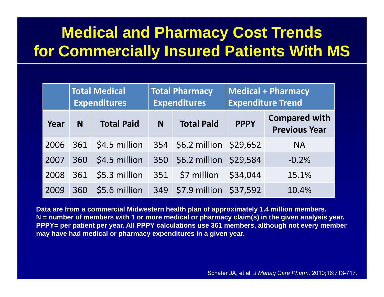#### **Medical and Pharmacy Cost Trends for Commercially Insured Patients With MS**

|      | <b>Total Medical</b><br><b>Expenditures</b> |                   | <b>Total Pharmacy</b><br><b>Expenditures</b> |                             |             | <b>Medical + Pharmacy</b><br><b>Expenditure Trend</b> |
|------|---------------------------------------------|-------------------|----------------------------------------------|-----------------------------|-------------|-------------------------------------------------------|
| Year | N                                           | <b>Total Paid</b> | <b>Total Paid</b><br>N                       |                             | <b>PPPY</b> | <b>Compared with</b><br><b>Previous Year</b>          |
| 2006 | 361                                         | \$4.5 million     | 354                                          | \$6.2 million \$29,652      |             | <b>NA</b>                                             |
| 2007 | 360                                         | \$4.5 million     | 350                                          | \$6.2 million \$29,584      |             | $-0.2%$                                               |
| 2008 | 361                                         | \$5.3 million     | 351                                          | \$7 million                 | \$34,044    | 15.1%                                                 |
| 2009 | 360                                         | \$5.6 million     | 349                                          | $\frac{1}{2}$ \$7.9 million | \$37,592    | 10.4%                                                 |

**Data are from a commercial Midwestern health plan of approximately 1.4 million members. N = number of members with 1 or more medical or pharmacy claim(s) in the given analysis year. PPPY= per patient per year. All PPPY calculations use 361 members, although not every member may have had medical or pharmacy expenditures in a given year.**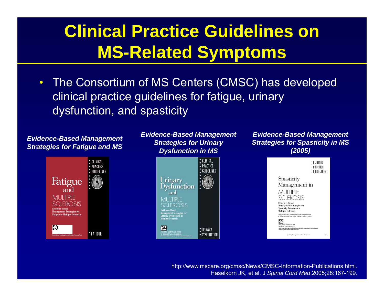## **Clinical Practice Guidelines on MS -Related Symptoms Related**

 $\bullet$  The Consortium of MS Centers (CMSC) has developed clinical practice guidelines for fatigue, urinary dysfunction, and spasticity

*Evidence-Based Management Strategies for Fatigue and MS*



*Evidence-Based Management Strategies for Urinary Dysfunction in MS*



*Evidence-Based Management Strategies for Spasticity in MS (2005)*



http://www.mscare.org/cmsc/News/CMSC-Information-Publications.html. Haselkorn JK, et al. J *Spinal Cord Med*.2005;28:167-199.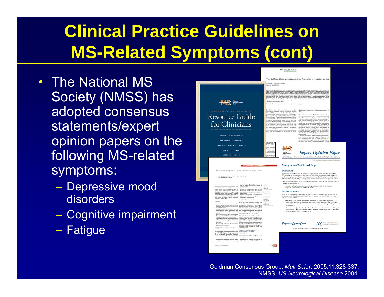# **Clinical Practice Guidelines on MS -Related Symptoms (cont) Related**

- The National MS Society (NMSS) has adopted consensus statements/expert opinion papers on the following MS-related symp toms:
	- Depressive mood disorders
	- –Cognitive impairment
	- Fatigue

|                                                                                                                                                                                                                                                                                                                                                                                                                                                                                                                                                                                                                                                                                                                                                                                                                                                                                                                                                                                                                                                                                                                                                                                                                                                                                                                                                                                                                                                                                                                                                                                                                                                                                                                                                                                                                                                                                                                                                                                                                                                                                                                                                                                                                                                                                                                                                                                                                                                                                                                                                                                                                                                                                                                                                                                                                                                                                                                                                                                                                                                                                                                                                                                                                                                                                                                                                                                                                                                                                                                                                                                   | The Goldman Consensus statement on depression in multiple scleros                                                                                                                                                                                                                                                                                                                                                                                                                                                                                                                                                                                                                                                                                                                                                                                                                                                                                                                                                                                                                                                                                                                                                                                                                                                                                                                                                                                                                                                                                                                                                                                                                                                                                                                                                                   |
|-----------------------------------------------------------------------------------------------------------------------------------------------------------------------------------------------------------------------------------------------------------------------------------------------------------------------------------------------------------------------------------------------------------------------------------------------------------------------------------------------------------------------------------------------------------------------------------------------------------------------------------------------------------------------------------------------------------------------------------------------------------------------------------------------------------------------------------------------------------------------------------------------------------------------------------------------------------------------------------------------------------------------------------------------------------------------------------------------------------------------------------------------------------------------------------------------------------------------------------------------------------------------------------------------------------------------------------------------------------------------------------------------------------------------------------------------------------------------------------------------------------------------------------------------------------------------------------------------------------------------------------------------------------------------------------------------------------------------------------------------------------------------------------------------------------------------------------------------------------------------------------------------------------------------------------------------------------------------------------------------------------------------------------------------------------------------------------------------------------------------------------------------------------------------------------------------------------------------------------------------------------------------------------------------------------------------------------------------------------------------------------------------------------------------------------------------------------------------------------------------------------------------------------------------------------------------------------------------------------------------------------------------------------------------------------------------------------------------------------------------------------------------------------------------------------------------------------------------------------------------------------------------------------------------------------------------------------------------------------------------------------------------------------------------------------------------------------------------------------------------------------------------------------------------------------------------------------------------------------------------------------------------------------------------------------------------------------------------------------------------------------------------------------------------------------------------------------------------------------------------------------------------------------------------------------------------------------|-------------------------------------------------------------------------------------------------------------------------------------------------------------------------------------------------------------------------------------------------------------------------------------------------------------------------------------------------------------------------------------------------------------------------------------------------------------------------------------------------------------------------------------------------------------------------------------------------------------------------------------------------------------------------------------------------------------------------------------------------------------------------------------------------------------------------------------------------------------------------------------------------------------------------------------------------------------------------------------------------------------------------------------------------------------------------------------------------------------------------------------------------------------------------------------------------------------------------------------------------------------------------------------------------------------------------------------------------------------------------------------------------------------------------------------------------------------------------------------------------------------------------------------------------------------------------------------------------------------------------------------------------------------------------------------------------------------------------------------------------------------------------------------------------------------------------------------|
|                                                                                                                                                                                                                                                                                                                                                                                                                                                                                                                                                                                                                                                                                                                                                                                                                                                                                                                                                                                                                                                                                                                                                                                                                                                                                                                                                                                                                                                                                                                                                                                                                                                                                                                                                                                                                                                                                                                                                                                                                                                                                                                                                                                                                                                                                                                                                                                                                                                                                                                                                                                                                                                                                                                                                                                                                                                                                                                                                                                                                                                                                                                                                                                                                                                                                                                                                                                                                                                                                                                                                                                   | Goldman Consensus Group*<br>New York City, NY, USA.                                                                                                                                                                                                                                                                                                                                                                                                                                                                                                                                                                                                                                                                                                                                                                                                                                                                                                                                                                                                                                                                                                                                                                                                                                                                                                                                                                                                                                                                                                                                                                                                                                                                                                                                                                                 |
| $MS =$                                                                                                                                                                                                                                                                                                                                                                                                                                                                                                                                                                                                                                                                                                                                                                                                                                                                                                                                                                                                                                                                                                                                                                                                                                                                                                                                                                                                                                                                                                                                                                                                                                                                                                                                                                                                                                                                                                                                                                                                                                                                                                                                                                                                                                                                                                                                                                                                                                                                                                                                                                                                                                                                                                                                                                                                                                                                                                                                                                                                                                                                                                                                                                                                                                                                                                                                                                                                                                                                                                                                                                            | in the count $\mathcal{D}_0$ and $\mathcal{D}_1$ is the first that is a simple of the column of the control of the column of the column of the column of the column of the column of the column of the column of the column of the column<br>Rey words: affective dearders: copyristes digresses multiple schrook neuropositions                                                                                                                                                                                                                                                                                                                                                                                                                                                                                                                                                                                                                                                                                                                                                                                                                                                                                                                                                                                                                                                                                                                                                                                                                                                                                                                                                                                                                                                                                                    |
| NATIONAL MS SOCIETY<br><b>Resource Guide</b><br>for Clinicians                                                                                                                                                                                                                                                                                                                                                                                                                                                                                                                                                                                                                                                                                                                                                                                                                                                                                                                                                                                                                                                                                                                                                                                                                                                                                                                                                                                                                                                                                                                                                                                                                                                                                                                                                                                                                                                                                                                                                                                                                                                                                                                                                                                                                                                                                                                                                                                                                                                                                                                                                                                                                                                                                                                                                                                                                                                                                                                                                                                                                                                                                                                                                                                                                                                                                                                                                                                                                                                                                                                    | The Lillian Goldman Consensus Conference on the Mon-<br>Epidemiology of depressive disorders associated w<br>thraton and Teatures of Mood Disorders in Multiple<br>HS<br>Scleenske (MS) was commented in New York City on 17 and<br>16 january 2002, under the administrative leadership of<br>The mater diamas burdens for the 21st century are like<br>the New York City Chapter of the National Multiple<br>to be different from those which received the greater sh-<br>Scleents finitely. The ecostilic participants are lated as<br>an appendix to this document. Buckground presentations<br>of medical reasonne during the previous reat hunds<br>of money receives compared the first contract to the point of the point of the state of the latter of the latter of the first contract distribution the latter of the latter contract distribution that the state of the state<br>some given concerning our current state of knowledge<br>dout the affective disorders associated with MS. Depres<br>sive spactrum mood discaders were sciented as the furner of the confessors. There is muses to believe that there<br>datednet such as MS persons special challenges<br>recognition and momental manuscast These discretionals<br>include the affective discreters which are classified<br>mood discrebers occur at high rates among persons with<br>Mi. and that they are entimedy involutio. The consensus<br>naturally visited to subject years at a strong of a second<br>the Diagnostic and Statistical Manual of the American Psychiatric Association, Royth willing," as Major Deputy are Direct<br>knowledge about those disorders, as well as recommenda-<br>tions from the conference for alterations in clinical<br>short of criteria for MDO or Devilensia pet still canse pe<br>practice.<br>gaindlas bar |
| CLINICAL PUBLICATIONS<br><b><i>EDUCATION &amp; TRAINING</i></b>                                                                                                                                                                                                                                                                                                                                                                                                                                                                                                                                                                                                                                                                                                                                                                                                                                                                                                                                                                                                                                                                                                                                                                                                                                                                                                                                                                                                                                                                                                                                                                                                                                                                                                                                                                                                                                                                                                                                                                                                                                                                                                                                                                                                                                                                                                                                                                                                                                                                                                                                                                                                                                                                                                                                                                                                                                                                                                                                                                                                                                                                                                                                                                                                                                                                                                                                                                                                                                                                                                                   | Reported moses rest (Hettas risk for depressive ep-<br>ican discusses are quite high in persons diagnosed with ${\rm MS}^+$ Teleri prevalents rates for major depends in the finite depends on the same of $1$ but may be even higher in community complete $1.6$                                                                                                                                                                                                                                                                                                                                                                                                                                                                                                                                                                                                                                                                                                                                                                                                                                                                                                                                                                                                                                                                                                                                                                                                                                                                                                                                                                                                                                                                                                                                                                   |
| CLINICAL TOOLS & RESOURCES<br>CLINICAL RESEARCH<br>PATIENT RESOURCES                                                                                                                                                                                                                                                                                                                                                                                                                                                                                                                                                                                                                                                                                                                                                                                                                                                                                                                                                                                                                                                                                                                                                                                                                                                                                                                                                                                                                                                                                                                                                                                                                                                                                                                                                                                                                                                                                                                                                                                                                                                                                                                                                                                                                                                                                                                                                                                                                                                                                                                                                                                                                                                                                                                                                                                                                                                                                                                                                                                                                                                                                                                                                                                                                                                                                                                                                                                                                                                                                                              | This discussed fee<br>Advisory Roard of 1<br>the Madical Advis<br>National Michigan<br>Lifting Guidean C<br>Trastment of Dogs<br>17 - 18 Seinary 39<br><b>ACCA</b><br><b>Expert Opinion</b><br><b>Chiversity Dieud</b><br>Multiple Scle<br>mot Labback 1<br>iety<br><b>E-mail: runship</b><br>753 Third Awaren<br>New York, NY LOOS 7-3260<br>$mT = 3$<br>National Clinical Advisory Board of the National Multip                                                                                                                                                                                                                                                                                                                                                                                                                                                                                                                                                                                                                                                                                                                                                                                                                                                                                                                                                                                                                                                                                                                                                                                                                                                                                                                                                                                                                   |
| <b><i><u>Multiple Scient</u></i></b><br>Assessment and Management of Cagaizies Impairment in Multiple Sclermit<br>Medical Advisory Board of the National Mattiple<br>Schrienis Sectory (MMSE)<br><b><i><u><u>AAAHAARAHATAA</u></u></i></b><br>a Wannah Indian<br>tional information processing i.e seductions to<br>speed of denking that can affect editoracy of<br>The Ave<br>sier of Export Canon in pape<br><b>Gelder Teacher</b><br>pudared by Medical Advisory Read of the Notronal<br>Multiple Scheren: Sectory, The paper is frame on<br>retring harmons and expert options derived draw<br>Imposed weeking amonoty separately alternating<br>presence for disting amonom half and forth<br>between one mixed cognotes distributed and<br>chand practice and represence is a designed to help<br>channel for continue to the possibility of cognitive<br>rengies atomico. Sondonessée atomiky vo<br>subsyle.com/i<br>While her company, defects to spotal abilities and<br>defects to their patrons with audigits schools (ME), be<br>sum awar of the input of such defects, and loans<br>higher excessive function are encaptered and are<br>or present interestion to abruit the regains<br>registers of their deficits.<br>med to alignous before<br>Impact of Eugenician Pannelina<br>Innovar<br>bake her duty does the intribut with<br>Copiete delice appear to be present to some than<br>cupates dedux as a gross rid for regissions<br>half of MT pointer. In some the superty of person.<br>with MT do not have importances that applicantly<br>$\label{eq:1} Theorem~\ref{https://example.com/3} and generalness of the two sequences, and the two different values are used for the two sequences, and the two of the two sequences, and the two sequences are independent, and the two sequences, and the two sequences are defined by the two sequences. For the two classes, the two classes are called the two sequences, and the two sequences are called the two sequences.$<br>meat date fanctioning<br>. Leasing means past of adventure province.<br>welling concert capture dealers and other<br>recision functions appear to be more comparab-<br>impart on debting may be given owingh that the<br>codesibal is no longer rale behind the wheel.<br>support.<br>Petrolet semining for rack delicite is person<br>terevenue for not delice is reconomist.<br>. .<br>Samigin energie to componen for defects.<br>Consider producing to potent and hostyne<br>salines accompaning behaviour charges and<br>movinal response, and develop such as<br>determine the ratest to which their complaint, or the<br>mone of sher, as abed is a had M wheel<br>sports deduce or other confunding factor such as<br>fatgor, sidier most doods; Alloway is<br>combination and other through and registers way also be<br>allowed by capacite dysfamilies for example, waiving<br>in injection websigner for diverse recebring agents<br><b>General Ave</b><br>nest with audioakon' (dos<br>a meditary<br>and to compressed throughof.<br>presse greate challenger in painter with<br>Provolence of Engelsive By-Feastion<br>Correlation Morgona Capal<br>Systematics and State Mil<br>Inclusive regard that cognitive impatteness and solve in the special<br>complete previous delength the permission has not been adequately determined by proposition<br>for not been adequately determined by proposition<br>a quick as hard riskes. The most constant copieties<br>atte imparenze i dificolt to produces de laste<br>thand pressures alone<br>nganana ar | Management of MS-Related Fatigue<br><b>BACKGROUND</b><br>atigue is the most common MS symptom-experienced by 75 to 95% of p<br>disease. Approximately 50 to 60% of people with MS describe fatigue as or<br>troubling symptoms, regardless of their disease course or level of disability. Th<br>Administration recognizes fatigue as a significant cause of unemployment amor<br>Fatigue was recently defined by the Fatigue Management Panel of the Multiple<br>Clinical Practice Guidelines as:<br><b>All came of it for the</b><br>A subjective lack of physical and/or mental energy that is perceived by the indi-<br>carealver to interfere with usual and desired activities.<br><b>RECOMMENDATIONS</b><br>Based on clinical experience and careful review of the medical literature and a<br>$\frac{1}{2}$<br>pertaining to MS-related fatigue, the Medical Advisory Board of the National MS<br>following recommendations:<br>Because of the complexity of MS-related fatigue, the first step in effective<br>identify the cause(s) of the fatigue (e.g., any combination of factors, inclu<br>22222<br>medical illnesses, side effects of medications, depression, disrupted sleep<br>by the MS itself.<br>. Once the source(s) of the fatigue have been identified, the treatment of I<br>approached in a step-wise fashion in order to address all contributing far<br>of fatigue should include TWO major steps:<br><b>E-mail: He</b><br>Professional Resource Center<br>C 2006. National Multiple Sclerosis Society. All rights reserve                                                                                                                                                                                                                                                                              |
| became buying and some or i.e. monking mages<br>· Honogenete in registra delicio seland so<br>mentation, award of information, equivally  different diamet course a self-addition!<br>spirally summer (representation-relation of recent)  . Rand i.e. sevent studies we be minimal consistent                                                                                                                                                                                                                                                                                                                                                                                                                                                                                                                                                                                                                                                                                                                                                                                                                                                                                                                                                                                                                                                                                                                                                                                                                                                                                                                                                                                                                                                                                                                                                                                                                                                                                                                                                                                                                                                                                                                                                                                                                                                                                                                                                                                                                                                                                                                                                                                                                                                                                                                                                                                                                                                                                                                                                                                                                                                                                                                                                                                                                                                                                                                                                                                                                                                                                    |                                                                                                                                                                                                                                                                                                                                                                                                                                                                                                                                                                                                                                                                                                                                                                                                                                                                                                                                                                                                                                                                                                                                                                                                                                                                                                                                                                                                                                                                                                                                                                                                                                                                                                                                                                                                                                     |

**Dpinion Paper** 



Goldman Consensus Group. *Mult Scler*. 2005;11:328-337. NMSS. *US Neurological Disease.*2004.

 $-200$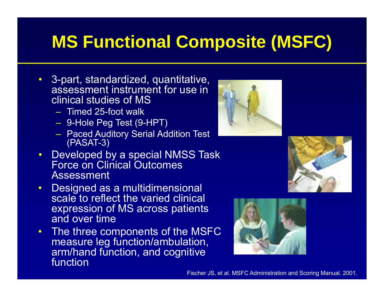# **MS Functional Composite (MSFC)**

- 3-part, standardized, quantitative, assessment instrument for use in clinical studies of MS
	- Timed 25-foot walk
	- $\mathcal{L}_{\mathcal{A}}$ 9-Hole Peg Test (9-HPT)
	- $\mathcal{L}_{\mathcal{A}}$  Paced Auditory Serial Addition Test (PASAT-3)
- • Developed by a special NMSS Task Force on Clinical Outcomes Assessment
- $\bullet$ Designed as a multidimensional scale to reflect the varied clinical expression of MS across patients and over time
- The three components of the MSFC measure leg function/ambulation, arm/hand function, and cognitive function





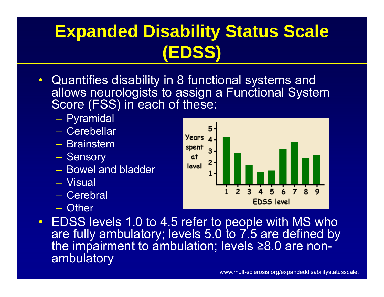# **Expanded Disability Status Scale (EDSS)**

- $\bullet$  Quantifies disability in 8 functional systems and allows neurologists to assign <sup>a</sup> Functional System Score (FSS) in each of these:
	- Pyramidal
	- Cerebellar
	- Brainstem
	- $\mathcal{L}_{\mathcal{A}}$  , and the set of the set of the set of the set of the set of the set of the set of the set of the set of the set of the set of the set of the set of the set of the set of the set of the set of the set of th - Sensory
	- Bowel and bladder
	- Visual
	- Cerebral
	- Other



• EDSS levels 1.0 to 4.5 refer to people with MS who are fully ambulatory; levels 5.0 to 7.5 are defined by the impairment to ambulation; levels ≥8.0 are nonambulatory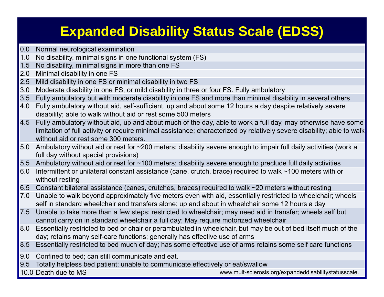#### **Expanded Disability Status Scale (EDSS)**

- 0.0 Normal neurological examination
- 1.0 No disability, minimal signs in one functional system (FS)
- 1.5 No disability, minimal signs in more than one FS
- 2.0 Minimal disability in one FS
- 2.5 Mild disability in one FS or minimal disability in two FS
- 3.0Moderate disability in one FS, or mild disability in three or four FS. Fully ambulatory
- 3.5 Fully ambulatory but with moderate disability in one FS and more than minimal disability in several others
- 4.0 Fully ambulatory without aid, self-sufficient, up and about some 12 hours a day despite relatively severe disability; able to walk without aid or rest some 500 meters
- 4.5 Fully ambulatory without aid, up and about much of the day, able to work a full day, may otherwise have some limitation of full activity or require minimal assistance; characterized by relatively severe disability; able to walk without aid or rest some 300 meters.
- 5.0 Ambulatory without aid or rest for ~200 meters; disability severe enough to impair full daily activities (work a full day without special provisions)
- 5.5 Ambulatory without aid or rest for ~100 meters; disability severe enough to preclude full daily activities
- 6.0 Intermittent or unilateral constant assistance (cane, crutch, brace) required to walk ~100 meters with or without resting
- 6.5 Constant bilateral assistance (canes, crutches, braces) required to walk ~20 meters without resting
- 7.0 Unable to walk beyond approximately five meters even with aid, essentially restricted to wheelchair; wheels self in standard wheelchair and transfers alone; up and about in wheelchair some 12 hours <sup>a</sup> day
- 7.5 Unable to take more than a few steps; restricted to wheelchair; may need aid in transfer; wheels self but cannot carry on in standard wheelchair a full day; May require motorized wheelchair
- 8.0 Essentially restricted to bed or chair or perambulated in wheelchair, but may be out of bed itself much of the day; retains many self-care functions; generally has effective use of arms
- 8.5 Essentially restricted to bed much of day; has some effective use of arms retains some self care functions
- 9.0 Confined to bed; can still communicate and eat.
- 9.5 Totally helpless bed patient; unable to communicate effectively or eat/swallow
- 10.0 Death due to MS

www.mult-sclerosis.org/expandeddisabilitystatusscale.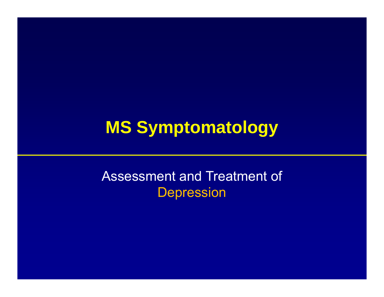#### **MS Symptomatology**

#### Assessment and Treatment of Depression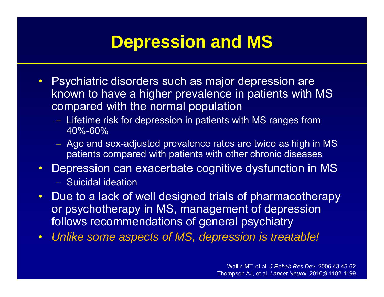#### **Depression and MS**

- $\bullet$  Psychiatric disorders such as major depression are known to have a higher prevalence in patients with MS compared with the normal population
	- $-$  Lifetime risk for depression in patients with MS ranges from  $\overline{\phantom{a}}$ 40%-60%
	- Age and sex-adjusted prevalence rates are twice as high in MS patients compared with patients with other chronic diseases
- $\bullet$  Depression can exacerbate cognitive dysfunction in MS
	- Suicidal ideation
- $\bullet$  Due to a lack of well designed trials of pharmacotherapy or psychotherapy in MS, management of depression follows recommendations of general psychiatry
- $\bullet$ • Unlike some aspects of MS, depression is treatable!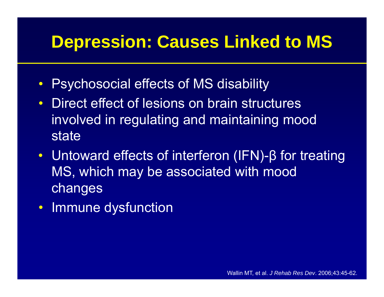#### **Depression: Causes Linked to MS**

- $\bullet$ Psychosocial effects of MS disability
- Direct effect of lesions on brain structures involved in regulating and maintaining mood state
- Untoward effects of interferon (IFN)-β for treating MS, which may be associated with mood changes
- Immune dysfunction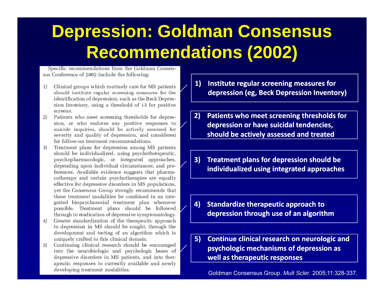#### **Depression: Goldman Consensus Recommendations (2002)**

Specific recommendations from the Goldman Consensus Conference of 2002 include the following:

- $1)$ Clinical groups which routinely care for MS patients should institute regular screening measures for the identification of depression, such as the Beck Depression Inventory, using a threshold of 13 for positive screens.
- 2) Patients who meet screening thresholds for depression, or who endorse any positive responses to suicide inquiries, should be actively assessed for severity and quality of depression, and considered for follow-on treatment recommendations.
- Treatment plans for depression among MS patients 3) should be individualized, using psychotherapeutic, psychopharmacologic, or integrated approaches, depending upon individual circumstances, and preferences. Available evidence suggests that pharmacotherapy and certain psychotherapies are equally effective for depressive disorders in MS populations, yet the Consensus Group strongly recommends that these treatment modalities be combined in an integrated biopsychosocial treatment plan whenever possible. Treatment plans should be followed through to eradication of depressive symptomatology.
- Greater standardization of the therapeutic approach 4) to depression in MS should be sought, through the development and testing of an algorithm which is uniquely crafted to this clinical domain.
- Continuing clinical research should be encouraged  $5)$ into the neurobiologic and psychologic bases of depressive disorders in MS patients, and into therapeutic responses to currently available and newly developing treatment modalities.
- **1) Institute regular screening measures for depression (eg Beck Depression Inventory) (eg,**
- **2) Patients who meet screening thresholds for depression or have suicidal tendencies, should be actively assessed and treated**
- **3) Treatment plans for depression should be** individualized using integrated approaches
- **4) Standardize therapeutic approach to depression through use of an algorithm**
- **5)** Continue clinical research on neurologic and **psychologic mechanisms of depression as well as therapeutic responses**

Goldman Consensus Group. *Mult Scler*. 2005;11:328-337.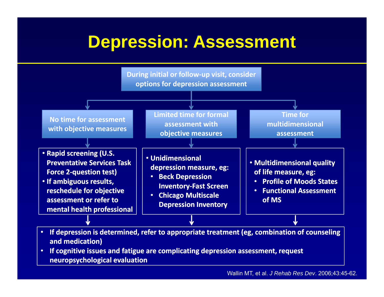#### **Depression: Assessment**



 $\bullet$  **If cognitive issues and fatigue are complicating depression assessment, request neuropsychological evaluation**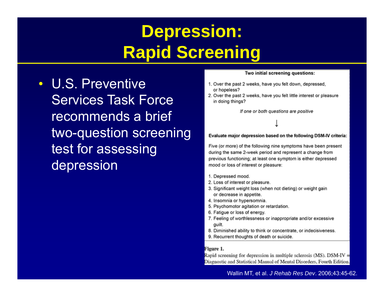### **Depression: Rapid Screening**

• U.S. Preventive Services Task Force recommends a brief two-question screening test for assessing depression

#### Two initial screening questions:

- 1. Over the past 2 weeks, have you felt down, depressed, or hopeless?
- 2. Over the past 2 weeks, have you felt little interest or pleasure in doing things?

If one or both questions are positive

#### Evaluate major depression based on the following DSM-IV criteria:

Five (or more) of the following nine symptoms have been present during the same 2-week period and represent a change from previous functioning; at least one symptom is either depressed mood or loss of interest or pleasure:

- 1. Depressed mood.
- 2. Loss of interest or pleasure.
- 3. Significant weight loss (when not dieting) or weight gain or decrease in appetite.
- 4. Insomnia or hypersomnia.
- 5. Psychomotor agitation or retardation.
- 6. Fatigue or loss of energy.
- 7. Feeling of worthlessness or inappropriate and/or excessive quilt.
- 8. Diminished ability to think or concentrate, or indecisiveness.
- 9. Recurrent thoughts of death or suicide.

#### Figure 1.

Rapid screening for depression in multiple sclerosis (MS). DSM-IV = Diagnostic and Statistical Manual of Mental Disorders, Fourth Edition.

Wallin MT, et al. *J Rehab Res Dev*. 2006;43:45-62.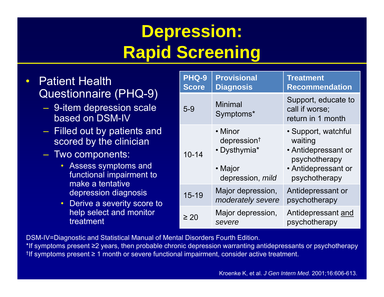# **Depression: Rapid Screening**

- $\bullet$ **Patient Health** 
	- 9-item depression scale based on DSM-IV
	- Filled out by patients and scored by the clinician
	- Two components:
		- functional impairment to make a tentative depression diagnosis
		- help select and monitor treatment

| Patient Health                                                                                                                                                                                                                                                                                                    | PHQ-9<br><b>Score</b> | <b>Provisional</b><br><b>Diagnosis</b>      | <b>Treatment</b><br><b>Recommendation</b>                                    |  |
|-------------------------------------------------------------------------------------------------------------------------------------------------------------------------------------------------------------------------------------------------------------------------------------------------------------------|-----------------------|---------------------------------------------|------------------------------------------------------------------------------|--|
| Questionnaire (PHQ-9)<br>- 9-item depression scale<br>based on DSM-IV<br>- Filled out by patients and<br>scored by the clinician<br>- Two components:<br>• Assess symptoms and<br>functional impairment to<br>make a tentative<br>depression diagnosis<br>• Derive a severity score to<br>help select and monitor | $5-9$                 | <b>Minimal</b><br>Symptoms*                 | Support, educate to<br>call if worse;<br>return in 1 month                   |  |
|                                                                                                                                                                                                                                                                                                                   |                       | • Minor<br>depression <sup>†</sup>          | • Support, watchful<br>waiting                                               |  |
|                                                                                                                                                                                                                                                                                                                   | $10 - 14$             | • Dysthymia*<br>• Major<br>depression, mild | • Antidepressant or<br>psychotherapy<br>• Antidepressant or<br>psychotherapy |  |
|                                                                                                                                                                                                                                                                                                                   | $15 - 19$             | Major depression,<br>moderately severe      | Antidepressant or<br>psychotherapy                                           |  |
| treatment                                                                                                                                                                                                                                                                                                         | $\geq 20$             | Major depression,<br>severe                 | Antidepressant and<br>psychotherapy                                          |  |

DSM-IV=Diagnostic and Statistical Manual of Mental Disorders Fourth Edition.

\*If symptoms present ≥2 years, then probable chronic depression warranting antidepressants or psychotherapy †If symptoms present ≥ 1 month or severe functional impairment, consider active treatment.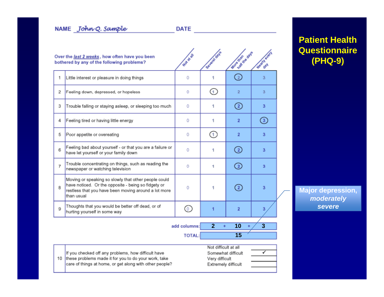**DATE** *DATE* 

|    | Over the last 2 weeks, how often have you been<br>bothered by any of the following problems?                                                                                      | Mat strait    | Savaraid Spys                                                 | More transfer days           | <b>Howith events</b>    |
|----|-----------------------------------------------------------------------------------------------------------------------------------------------------------------------------------|---------------|---------------------------------------------------------------|------------------------------|-------------------------|
| 1  | Little interest or pleasure in doing things                                                                                                                                       | 0             | 1                                                             | $\left( \frac{1}{2} \right)$ | 3                       |
| 2  | Feeling down, depressed, or hopeless                                                                                                                                              | 0             | ⊙                                                             | $\overline{2}$               | 3                       |
| 3  | Trouble falling or staying asleep, or sleeping too much                                                                                                                           | 0             | 1                                                             | ☺                            | 3                       |
| 4  | Feeling tired or having little energy                                                                                                                                             | 0             | 1                                                             | $\overline{2}$               | ☺                       |
| 5  | Poor appetite or overeating                                                                                                                                                       | 0             | G.                                                            | $\overline{2}$               | $\overline{\mathbf{3}}$ |
| 6  | Feeling bad about yourself - or that you are a failure or<br>have let yourself or your family down                                                                                | 0             | 1                                                             | ⊙                            | 3                       |
| 7  | Trouble concentrating on things, such as reading the<br>newspaper or watching television                                                                                          | 0             | 1                                                             | ➁                            | 3                       |
| 8  | Moving or speaking so slowly that other people could<br>have noticed. Or the opposite - being so fidgety or<br>restless that you have been moving around a lot more<br>than usual |               | 1                                                             | Ø                            | $\overline{3}$          |
| 9  | Thoughts that you would be better off dead, or of<br>hurting yourself in some way                                                                                                 | ⊚             | 1                                                             | $\overline{2}$               | 3                       |
|    |                                                                                                                                                                                   | add columns:  | $\overline{2}$<br>÷                                           | 10<br>$\ddot{}$              | $\overline{3}$          |
|    |                                                                                                                                                                                   | <b>TOTAL:</b> |                                                               | 15                           |                         |
| 10 | If you checked off any problems, how difficult have<br>these problems made it for you to do your work, take<br>care of things at home, or get along with other people?            |               | Not difficult at all<br>Very difficult<br>Extremely difficult | Somewhat difficult           | ✓                       |

#### **Patient Health Questionnaire (PHQ-9)**

**Major depression,**  *moderately severe*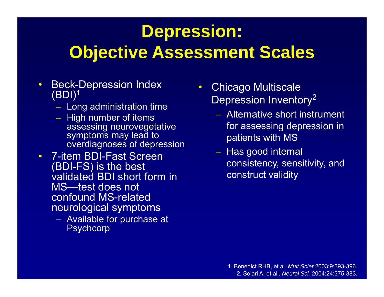# **Depression: Objective Assessment Scales**

- $\bullet$  Beck-Depression Index  $(BDI)<sup>1</sup>$ 
	- Long administration time
	- $\mathcal{L}_{\mathcal{A}}$  $-$  High number of items  $\overline{\phantom{a}}$ assessing neurovegetative symptoms may lead to overdiagnoses of depression
- 7-item BDI-Fast Screen (BDI-FS) is the best validated BDI short form in MS—test does not confound MS-related neurological symptoms
	- $\mathcal{L}_{\mathcal{A}}$  Available for purchase at **Psychcorp**
- $\bullet$  Chicago Multiscale –Depression Inventory<sup>2</sup> **Chicago Multiscale** 
	- Alternative short instrument g neurovegetative **the same of the set of the set of the set of the set of the set of the set of the set of th** patients with MS
		- Has good internal consistency, sensitivity, and construct validity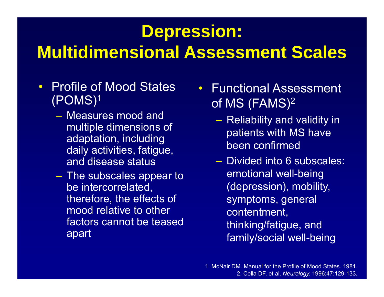#### **Depression:**

#### **Multidimensional Assessment Scales**

- • Profile of Mood States •(POMS)1
	- Measures mood and multiple dimensions of adaptation, including daily activities, fatigue, and disease status
	- $-$  The subscales appear to  $\,$ be intercorrelated, therefore, the effects of mood relative to other factors cannot be teased apart
- Functional Assessment of MS (FAMS)2
	- $\mathcal{L}_{\mathcal{A}}$  $-$  Reliability and validity in  $\,$ patients with MS have been confirmed
	- Divided into 6 subscales: emotional well-being (depression), mobility, symptoms, general contentment, thinking/fatigue, and family/social well-being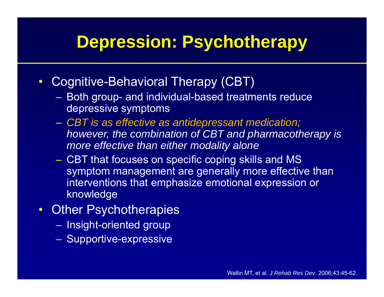#### **Depression: Psychotherapy**

- $\bullet$  Cognitive-Behavioral Therapy (CBT)
	- Both group- and individual-based treatments reduce depressive symptoms
	- $\mathcal{L}_{\mathcal{A}}$  , and the set of the set of the set of the set of the set of the set of the set of the set of the set of the set of the set of the set of the set of the set of the set of the set of the set of the set of th *CBT is as effective as antidepressant medication; however, the combination of CBT and pharmacotherapy is more effective than either modality alone*
	- $\mathcal{L}_{\mathcal{A}}$  , and the set of the set of the set of the set of the set of the set of the set of the set of the set of the set of the set of the set of the set of the set of the set of the set of the set of the set of th CBT that focuses on specific coping skills and MS symptom management are generally more effective than interventions that emphasize emotional expression or knowledge
- $\bullet$  Other Psychotherapies
	- $-$  Insight-oriented group
	- $\mathcal{L}_{\mathcal{A}}$  , and the set of the set of the set of the set of the set of the set of the set of the set of the set of the set of the set of the set of the set of the set of the set of the set of the set of the set of th – Supportive-expressive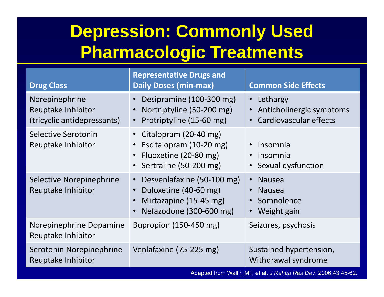# **Depression: Commonly Used Pharmacologic Treatments**

| <b>Drug Class</b>                                                   | <b>Representative Drugs and</b><br><b>Daily Doses (min-max)</b>                                          | <b>Common Side Effects</b>                                       |
|---------------------------------------------------------------------|----------------------------------------------------------------------------------------------------------|------------------------------------------------------------------|
| Norepinephrine<br>Reuptake Inhibitor<br>(tricyclic antidepressants) | Desipramine (100-300 mg)<br>Nortriptyline (50-200 mg)<br>Protriptyline (15-60 mg)                        | • Lethargy<br>Anticholinergic symptoms<br>Cardiovascular effects |
| Selective Serotonin<br>Reuptake Inhibitor                           | Citalopram (20-40 mg)<br>Escitalopram (10-20 mg)<br>Fluoxetine (20-80 mg)<br>Sertraline (50-200 mg)      | Insomnia<br>Insomnia<br>• Sexual dysfunction                     |
| Selective Norepinephrine<br>Reuptake Inhibitor                      | Desvenlafaxine (50-100 mg)<br>Duloxetine (40-60 mg)<br>Mirtazapine (15-45 mg)<br>Nefazodone (300-600 mg) | <b>Nausea</b><br><b>Nausea</b><br>Somnolence<br>Weight gain      |
| Norepinephrine Dopamine<br>Reuptake Inhibitor                       | Bupropion (150-450 mg)                                                                                   | Seizures, psychosis                                              |
| Serotonin Norepinephrine<br>Reuptake Inhibitor                      | Venlafaxine (75-225 mg)                                                                                  | Sustained hypertension,<br>Withdrawal syndrome                   |
|                                                                     |                                                                                                          | Adapted from Wallin MT, et al. J Rehab Res Dev. 2006;43:45-62.   |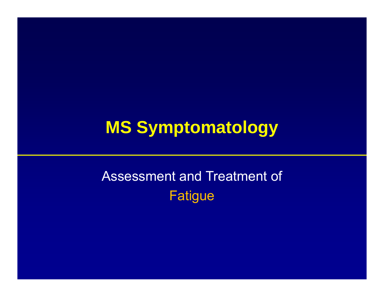# **MS Symptomatology**

#### Assessment and Treatment of Fatigue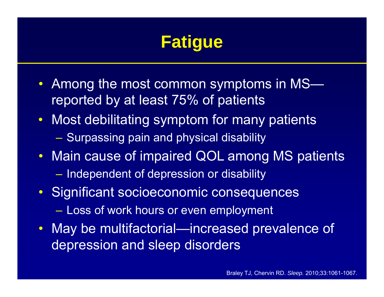# **Fatigue**

- Among the most common symptoms in MS reported by at least 75% of patients
- Most debilitating symptom for many patients – Surpassing pain and physical disability
- Main cause of impaired QOL among MS patients – $-$  Independent of depression or disability
- Significant socioeconomic consequences  $-$  Loss of work hours or even employment
- May be multifactorial—increased prevalence of depression and sleep disorders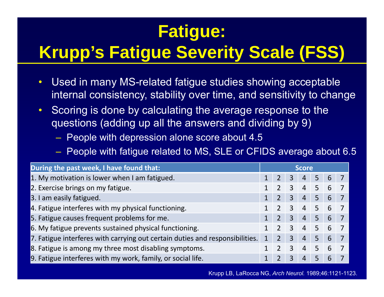# **Fatigue:**

# **Krupp s' Fatigue Severity Scale (FSS) (FSS)**

- $\bullet$  Used in many MS-related fatigue studies showing acceptable internal consistency, stability over time, and sensitivity to change
- $\bullet$  Scoring is done by calculating the average response to the questions (adding up all the answers and dividing by 9)
	- $-$  People with depression alone score about 4.5  $\,$
	- People with fatigue related to MS, SLE or CFIDS average about 6.5

| During the past week, I have found that:                                     | <b>Score</b> |                |                |                |                     |    |  |
|------------------------------------------------------------------------------|--------------|----------------|----------------|----------------|---------------------|----|--|
| 1. My motivation is lower when I am fatigued.                                |              |                | $\overline{3}$ | $\overline{4}$ | 5                   | -6 |  |
| 2. Exercise brings on my fatigue.                                            |              |                | $\overline{3}$ |                | $4 \mid 5 \mid 6$   |    |  |
| 3. I am easily fatigued.                                                     |              | $2^{\circ}$    | $\overline{3}$ | $\overline{4}$ | 5                   | 6  |  |
| 4. Fatigue interferes with my physical functioning.                          |              |                | $\overline{3}$ |                | $4 \quad 5 \quad 6$ |    |  |
| 5. Fatigue causes frequent problems for me.                                  |              |                | $\overline{3}$ | $\overline{4}$ | 5                   | 6  |  |
| 6. My fatigue prevents sustained physical functioning.                       |              |                | $\overline{3}$ |                | $4 \quad 5 \quad 6$ |    |  |
| 7. Fatigue interferes with carrying out certain duties and responsibilities. | $\mathbf 1$  | $\overline{2}$ | $\overline{3}$ | $\overline{4}$ | 5                   | 6  |  |
| 8. Fatigue is among my three most disabling symptoms.                        |              |                | $\mathbf{3}$   | $\overline{4}$ | 5 <sup>1</sup>      | 6  |  |
| 9. Fatigue interferes with my work, family, or social life.                  |              |                | 3              | $\overline{4}$ | 5                   | 6  |  |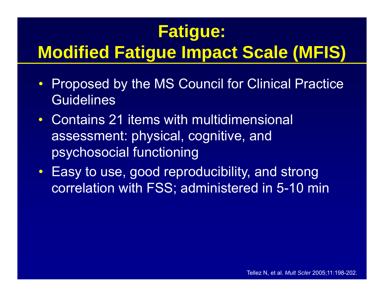# **Fatigue:**

# **Modified Fatigue Impact Scale (MFIS)**

- Proposed by the MS Council for Clinical Practice **Guidelines**
- $\bullet$  Contains 21 items with multidimensional assessment: physical, cognitive, and psychosocial functioning
- Easy to use, good reproducibility, and strong correlation with FSS; administered in 5-10 min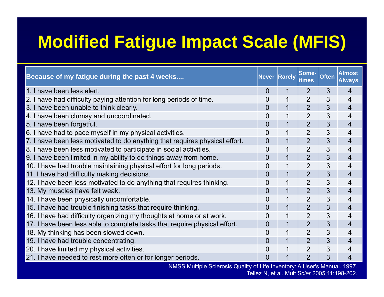#### **Modified Fatigue Impact Scale (MFIS)**

| Because of my fatigue during the past 4 weeks                               | <b>Never Rarely</b> |   | Some-<br>times | <b>Often</b> | <b>Almost</b><br><b>Always</b> |
|-----------------------------------------------------------------------------|---------------------|---|----------------|--------------|--------------------------------|
| 1. I have been less alert.                                                  | $\overline{0}$      | 1 | 2              | 3            | 4                              |
| 2. I have had difficulty paying attention for long periods of time.         | 0                   |   | $\overline{2}$ | 3            | 4                              |
| 3. I have been unable to think clearly.                                     | $\overline{0}$      | 1 | $\overline{2}$ | 3            | $\overline{4}$                 |
| 4. I have been clumsy and uncoordinated.                                    | 0                   |   | $\overline{2}$ | 3            | 4                              |
| 5. I have been forgetful.                                                   | $\overline{0}$      | 1 | $\overline{2}$ | 3            | 4                              |
| 6. I have had to pace myself in my physical activities.                     | 0                   | 1 | 2              | 3            | 4                              |
| 7. I have been less motivated to do anything that requires physical effort. | $\overline{0}$      | 1 | $\overline{2}$ | 3            | $\overline{4}$                 |
| 8. I have been less motivated to participate in social activities.          | 0                   | 1 | $\overline{2}$ | 3            | 4                              |
| 9. I have been limited in my ability to do things away from home.           | 0                   | 1 | $\overline{2}$ | 3            | 4                              |
| 10. I have had trouble maintaining physical effort for long periods.        | 0                   | 1 | 2              | 3            | 4                              |
| 11. I have had difficulty making decisions.                                 | $\overline{0}$      | 1 | $\overline{2}$ | 3            | $\overline{4}$                 |
| 12. I have been less motivated to do anything that requires thinking.       | 0                   | 1 | $\overline{2}$ | 3            | 4                              |
| 13. My muscles have felt weak.                                              | 0                   | 1 | $\overline{2}$ | 3            | 4                              |
| 14. I have been physically uncomfortable.                                   | $\overline{0}$      | 1 | $\overline{2}$ | 3            | 4                              |
| 15. I have had trouble finishing tasks that require thinking.               | $\overline{0}$      | 1 | $\overline{2}$ | 3            | $\overline{4}$                 |
| 16. I have had difficulty organizing my thoughts at home or at work.        | 0                   |   | $\overline{2}$ | 3            | 4                              |
| 17. I have been less able to complete tasks that require physical effort.   | $\overline{0}$      | 1 | $\overline{2}$ | 3            | $\overline{4}$                 |
| 18. My thinking has been slowed down.                                       | 0                   | 1 | $\overline{2}$ | 3            | 4                              |
| 19. I have had trouble concentrating.                                       | $\overline{0}$      | 1 | $\overline{2}$ | 3            | 4                              |
| 20. I have limited my physical activities.                                  | 0                   | 1 | $\overline{2}$ | 3            | 4                              |
| 21. I have needed to rest more often or for longer periods.                 | $\overline{0}$      | 1 | $\overline{2}$ | 3            | 4                              |
| NMSS Multiple Sclerosis Quality of Life Inventory: A User's Manual. 1997.   |                     |   |                |              |                                |

Tellez N, et al. Mult S*cler* 2005;11:198-202.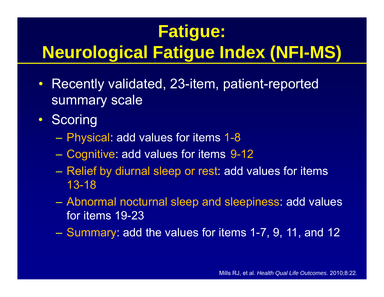# **Fatigue:**

# **Neurological Fatigue Index (NFI (NFI-MS)**

- $\bullet$  Recently validated, 23-item, patient-reported summary scale
- $\bullet$ **Scoring** 
	- Physical: add values for items 1-8
	- Cognitive: add values for items 9-12
	- $-$  Relief by diurnal sleep or rest: add values for items 13-18
	- Abnormal nocturnal sleep and sleepiness: add values for items 19-23
	- Summary: add the values for items 1-7, 9, 11, and 12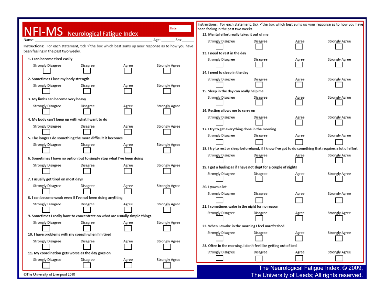|                                                                                                      |          |       | Date:          | Instructions: For each statement, tick √the box which best sums up your response as to how you have<br>been feeling in the past two weeks. |          |       |                                               |
|------------------------------------------------------------------------------------------------------|----------|-------|----------------|--------------------------------------------------------------------------------------------------------------------------------------------|----------|-------|-----------------------------------------------|
| <b>NFI-MS</b> Neurological Fatigue Index                                                             |          |       |                | 12. Mental effort really takes it out of me                                                                                                |          |       |                                               |
| Name:                                                                                                |          |       | Sex:<br>Age:   | Strongly Disagree                                                                                                                          | Disagree | Agree | Strongly Agree                                |
| Instructions: For each statement, tick v the box which best sums up your response as to how you have |          |       |                |                                                                                                                                            |          |       |                                               |
| been feeling in the past two weeks.                                                                  |          |       |                | 13. I need to rest in the day                                                                                                              |          |       |                                               |
| 1. I can become tired easily                                                                         |          |       |                | Strongly Disagree                                                                                                                          | Disagree | Agree | Strongly Agree                                |
| Strongly Disagree                                                                                    | Disagree | Agree | Strongly Agree |                                                                                                                                            |          |       |                                               |
|                                                                                                      |          |       |                | 14. I need to sleep in the day                                                                                                             |          |       |                                               |
| 2. Sometimes I lose my body strength                                                                 |          |       |                | Strongly Disagree                                                                                                                          | Disagree | Agree | Strongly Agree                                |
| Strongly Disagree                                                                                    | Disagree | Agree | Strongly Agree |                                                                                                                                            |          |       |                                               |
|                                                                                                      |          |       |                | 15. Sleep in the day can really help me                                                                                                    |          |       |                                               |
| 3. My limbs can become very heavy                                                                    |          |       |                | Strongly Disagree                                                                                                                          | Disagree | Agree | Strongly Agree                                |
| Strongly Disagree                                                                                    | Disagree | Agree | Strongly Agree |                                                                                                                                            |          |       |                                               |
|                                                                                                      |          |       |                | 16. Resting allows me to carry on                                                                                                          |          |       |                                               |
| 4. My body can't keep up with what I want to do                                                      |          |       |                | Strongly Disagree                                                                                                                          | Disagree | Agree | Strongly Agree                                |
| Strongly Disagree                                                                                    | Disagree | Agree | Strongly Agree |                                                                                                                                            |          |       |                                               |
|                                                                                                      |          |       |                | 17. I try to get everything done in the morning                                                                                            |          |       |                                               |
| 5. The longer I do something the more difficult it becomes                                           |          |       |                | Strongly Disagree                                                                                                                          | Disagree | Agree | Strongly Agree                                |
| Strongly Disagree                                                                                    | Disagree | Agree | Strongly Agree |                                                                                                                                            |          |       |                                               |
|                                                                                                      |          |       |                | 18. I try to rest or sleep beforehand, if I know I've got to do something that requires a lot of effort                                    |          |       |                                               |
| 6. Sometimes I have no option but to simply stop what I've been doing                                |          |       |                | Strongly Disagree                                                                                                                          | Disagree | Agree | Strongly Agree                                |
| Strongly Disagree                                                                                    | Disagree | Agree | Strongly Agree |                                                                                                                                            |          |       |                                               |
|                                                                                                      |          |       |                | 19. I get a feeling as if I have not slept for a couple of nights                                                                          |          |       |                                               |
| 7. I usually get tired on most days                                                                  |          |       |                | Strongly Disagree                                                                                                                          | Disagree | Agree | Strongly Agree                                |
| Strongly Disagree                                                                                    | Disagree | Agree | Strongly Agree | 20. I yawn a lot                                                                                                                           |          |       |                                               |
|                                                                                                      |          |       |                |                                                                                                                                            |          |       |                                               |
| 8. I can become weak even if I've not been doing anything                                            |          |       |                | Strongly Disagree                                                                                                                          | Disagree | Agree | Strongly Agree                                |
| Strongly Disagree                                                                                    | Disagree | Agree | Strongly Agree | 21. I sometimes wake in the night for no reason                                                                                            |          |       |                                               |
|                                                                                                      |          |       |                | Strongly Disagree                                                                                                                          |          |       |                                               |
| 9. Sometimes I really have to concentrate on what are usually simple things                          |          |       |                |                                                                                                                                            | Disagree | Agree | Strongly Agree                                |
| Strongly Disagree                                                                                    | Disagree | Agree | Strongly Agree | 22. When I awake in the morning I feel unrefreshed                                                                                         |          |       |                                               |
|                                                                                                      |          |       |                |                                                                                                                                            |          |       |                                               |
| 10. I have problems with my speech when I'm tired                                                    |          |       |                | Strongly Disagree                                                                                                                          | Disagree | Agree | Strongly Agree                                |
| Strongly Disagree                                                                                    | Disagree | Agree | Strongly Agree |                                                                                                                                            |          |       |                                               |
|                                                                                                      |          |       |                | 23. Often in the morning, I don't feel like getting out of bed                                                                             |          |       |                                               |
| 11. My coordination gets worse as the day goes on                                                    |          |       |                | Strongly Disagree                                                                                                                          | Disagree | Agree | Strongly Agree                                |
| Strongly Disagree                                                                                    | Disagree | Agree | Strongly Agree |                                                                                                                                            |          |       |                                               |
|                                                                                                      |          |       |                |                                                                                                                                            |          |       | The Neurological Fatigue Index, © 2009,       |
| @The University of Liverpool 2010                                                                    |          |       |                |                                                                                                                                            |          |       | The University of Leeds; All rights reserved. |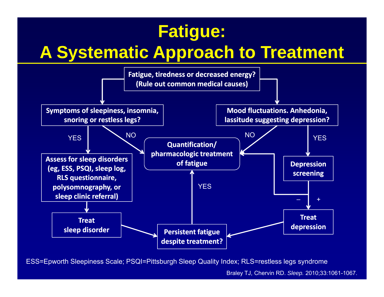#### **Fatigue:**

# **A Systematic Approach to Treatment**



ESS=Epworth Sleepiness Scale; PSQI=Pittsburgh Sleep Quality Index; RLS=restless legs syndrome

Braley TJ, Chervin RD. *Sleep.* 2010;33:1061-1067.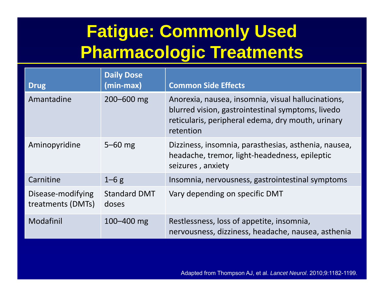# **Fatigue: Commonly Used Pharmacologic Treatments**

| <b>Drug</b>                            | <b>Daily Dose</b><br>(min-max) | <b>Common Side Effects</b>                                                                                                                                                |
|----------------------------------------|--------------------------------|---------------------------------------------------------------------------------------------------------------------------------------------------------------------------|
| Amantadine                             | $200 - 600$ mg                 | Anorexia, nausea, insomnia, visual hallucinations,<br>blurred vision, gastrointestinal symptoms, livedo<br>reticularis, peripheral edema, dry mouth, urinary<br>retention |
| Aminopyridine                          | $5 - 60$ mg                    | Dizziness, insomnia, parasthesias, asthenia, nausea,<br>headache, tremor, light-headedness, epileptic<br>seizures, anxiety                                                |
| Carnitine                              | $1-6g$                         | Insomnia, nervousness, gastrointestinal symptoms                                                                                                                          |
| Disease-modifying<br>treatments (DMTs) | <b>Standard DMT</b><br>doses   | Vary depending on specific DMT                                                                                                                                            |
| Modafinil                              | $100 - 400$ mg                 | Restlessness, loss of appetite, insomnia,<br>nervousness, dizziness, headache, nausea, asthenia                                                                           |

Adapted from Thompson AJ, et al. *Lancet Neurol*. 2010;9:1182-1199.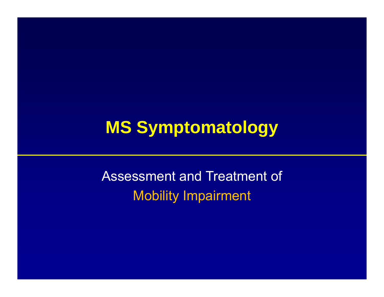# **MS Symptomatology**

Assessment and Treatment of Mobility Impairment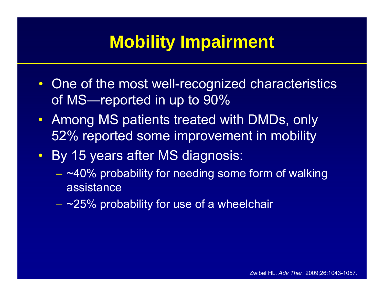#### **Mobility Impairment**

- One of the most well-recognized characteristics of MS—reported in up to 90%
- Among MS patients treated with DMDs, only 52% reported some improvement in mobility
- By 15 years after MS diagnosis:
	- $-$  ~40% probability for needing some form of walking  $\,$ assistance
	- $-$  ~25% probability for use of a wheelchair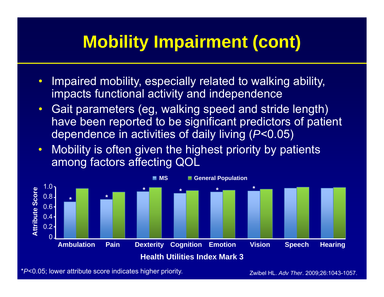# **Mobility Impairment (cont)**

- $\bullet$  Impaired mobility, especially related to walking ability, impacts functional activity and independence
- $\bullet$  Gait parameters (eg, walking speed and stride length) have been reported to be significant predictors of patient dependence in activities of daily living ( *P*<0.05)
- $\bullet$  Mobility is often given the highest priority by patients among factors affecting QOL



\* *P*<0.05; lower attribute score indicates higher priority.

Zwibel HL. *Adv Ther*. 2009;26:1043-1057.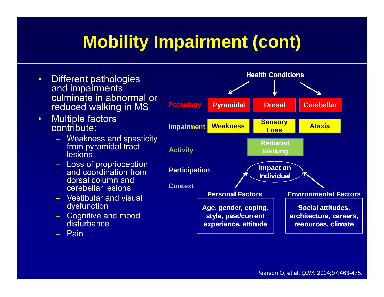# **Mobility Impairment (cont)**

 $\bullet$  Different pathologies and im pairments **Health Conditions**culminate in abnormal or reduced walking in MS  $\bullet$  Multiple factors contribute: **Pathology Pyramidal Dorsal Cerebellar WeaknessSensory**<br>Loss **Impairment** Weakness **Const Ataxia**– Weakness and spasticity from pyramidal tract lesions– Loss of proprioception **ReducedWalking Impact on Activity** and coordination from dorsal column and cerebellar lesions– Vestibular and visual dysfunction **Individual Participation ContextPersonal Factors Environmental Factors**dysfunction<br>– Cognitive and mood disturbance – Pain **Age, gender, coping, style, past/current experience, attitude Social attitudes, architecture, careers, resources, climate**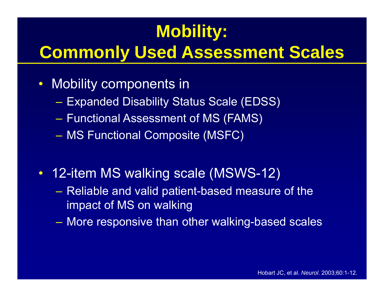# **Mobility:**

# **Commonly Used Assessment Scales**

- $\bullet$  Mobility components in
	- Expanded Disability Status Scale (EDSS)
	- $-$  Functional Assessment of MS (FAMS)  $\overline{ }$
	- MS Functional Composite (MSFC) |
- 12-item MS walking scale (MSWS-12)
	- Reliable and valid patient-based measure of the impact of MS on walking
	- More responsive than other walking-based scales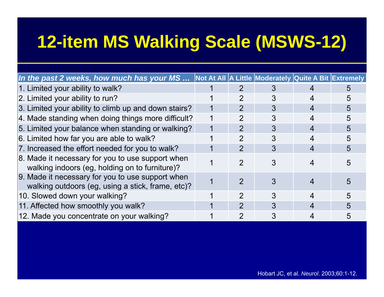# **12-item MS Walking Scale (MSWS-12)**

| In the past 2 weeks, how much has your MS  Not At All A Little Moderately Quite A Bit Extremely       |                |   |    |
|-------------------------------------------------------------------------------------------------------|----------------|---|----|
| 1. Limited your ability to walk?                                                                      |                |   | h. |
| 2. Limited your ability to run?                                                                       |                |   |    |
| 3. Limited your ability to climb up and down stairs?                                                  | $\mathcal{P}$  | 3 | 5  |
| 4. Made standing when doing things more difficult?                                                    |                | 3 | 5  |
| 5. Limited your balance when standing or walking?                                                     | $\mathcal{P}$  | 3 | 5  |
| 6. Limited how far you are able to walk?                                                              | 2              | 3 | 5  |
| 7. Increased the effort needed for you to walk?                                                       | $\overline{2}$ | 3 | 5  |
| 8. Made it necessary for you to use support when<br>walking indoors (eg, holding on to furniture)?    | 2              |   |    |
| 9. Made it necessary for you to use support when<br>walking outdoors (eg, using a stick, frame, etc)? |                |   |    |
| 10. Slowed down your walking?                                                                         |                |   | 5  |
| 11. Affected how smoothly you walk?                                                                   | 2              | 3 |    |
| 12. Made you concentrate on your walking?                                                             |                |   |    |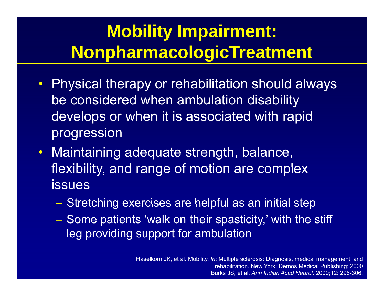# **Mobility Impairment: NonpharmacologicTreatment**

- Physical therapy or rehabilitation should always be considered when ambulation disability develops or when it is associated with rapid progression
- Maintaining adequate strength, balance, flexibility, and range of motion are complex issues
	- $-$  Stretching exercises are helpful as an initial step
	- Some patients 'walk on their spasticity,' with the stiff leg providing support for ambulation

Haselkorn JK, et al. Mobility. *In*: Multiple sclerosis: Diagnosis, medical management, and rehabilitation. New York: Demos Medical Publishing; 2000 Burks JS, et al. *Ann Indian Acad Neurol*. 2009;12: 296-306.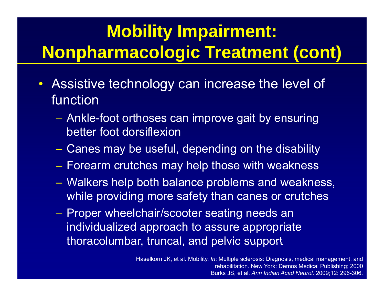# **Mobility Impairment: Nonpharmacologic Treatment (cont)**

- $\bullet$  Assistive technology can increase the level of function
	- Ankle-foot orthoses can improve gait by ensuring better foot dorsiflexion
	- $\mathcal{L}_{\mathcal{A}}$ Canes may be useful, depending on the disability
	- $\mathcal{L}_{\mathcal{A}}$  $-$  Forearm crutches may help those with weakness
	- – Walkers help both balance problems and weakness, while providing more safety than canes or crutches
	- Proper wheelchair/scooter seating needs an individualized approach to assure appropriate thoracolumbar, truncal, and pelvic support

Haselkorn JK, et al. Mobility. *In*: Multiple sclerosis: Diagnosis, medical management, and rehabilitation. New York: Demos Medical Publishing; 2000 Burks JS, et al. *Ann Indian Acad Neurol*. 2009;12: 296-306.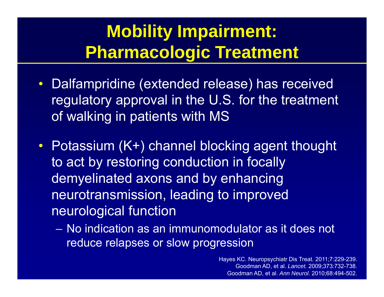## **Mobility Impairment: Pharmacologic Treatment**

- Dalfampridine (extended release) has received regulatory approval in the U.S. for the treatment of walking in patients with MS
- Potassium (K+) channel blocking agent thought to act by restoring conduction in focally demyelinated axons and by enhancing neurotransmission, leading to improved neurological function
	- No indication as an immunomodulator as it does not reduce relapses or slow progression

Hayes KC. Neuropsychiatr Dis Treat. 2011;7:229-239. Goodman AD, et al. *Lancet.* 2009;373:732-738. Goodman AD, et al. *Ann Neurol.* 2010;68:494-502.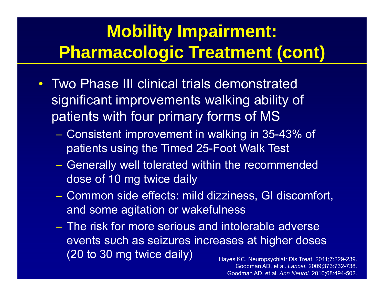# **Mobility Impairment: Pharmacologic Treatment (cont)**

- Two Phase III clinical trials demonstrated significant improvements walking ability of patients with four primary forms of MS
	- Consistent improvement in walking in 35-43% of patients using the Timed 25-Foot Walk Test
	- $-$  Generally well tolerated within the recommended dose of 10 mg twice daily
	- Common side effects: mild dizziness, GI discomfort, and some agitation or wakefulness
	- The risk for more serious and intolerable adverse events such as seizures increases at higher doses (20 to 30 mg twice daily) Hayes KC. Neuropsychiatr Dis Treat. 2011;7:229-239.

Goodman AD, et al. *Lancet.* 2009;373:732-738. Goodman AD, et al. *Ann Neurol.* 2010;68:494-502.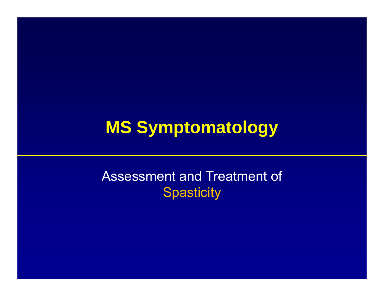#### **MS Symptomatology**

#### Assessment and Treatment of **Spasticity**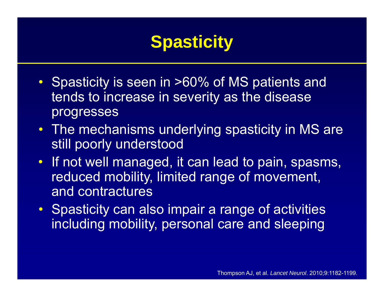# **Spasticity**

- Spasticity is seen in >60% of MS patients and tends to increase in severity as the disease progresses
- The mechanisms underlying spasticity in MS are still poorly understood
- If not well managed, it can lead to pain, spasms, reduced mobility, limited range of movement, and contractures
- Spasticity can also impair a range of activities including mobility, personal care and sleeping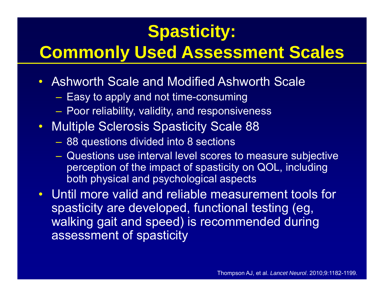### **Spasticity:**

## **Commonly Used Assessment Scales**

- Ashworth Scale and Modified Ashworth Scale
	- $-$  Easy to apply and not time-consuming
	- $\mathcal{L}_{\mathcal{A}}$  , and the set of the set of the set of the set of the set of the set of the set of the set of the set of the set of the set of the set of the set of the set of the set of the set of the set of the set of th  $-$  Poor reliability, validity, and responsiveness
- Multiple Sclerosis Spasticity Scale 88
	- $\mathcal{L}_{\mathcal{A}}$  , and the set of the set of the set of the set of the set of the set of the set of the set of the set of the set of the set of the set of the set of the set of the set of the set of the set of the set of th 88 questions divided into 8 sections
	- Questions use interval level scores to measure subjective perception of the impact of spasticity on QOL, including both physical and psychological aspects
- Until more valid and reliable measurement tools for spasticity are developed, functional testing (eg, walking gait and speed) is recommended during assessment of spasticity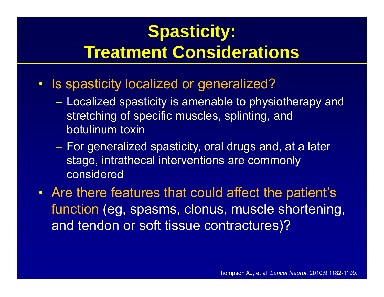# **Spasticity: Treatment Considerations**

- Is spasticity localized or generalized?
	- Localized spasticity is amenable to physiotherapy and stretching of specific muscles, splinting, and botulinum toxin
	- For generalized spasticity, oral drugs and, at a later stage, intrathecal interventions are commonly considered
- Are there features that could affect the patient's function (eg, spasms, clonus, muscle shortening, and tendon or soft tissue contractures)?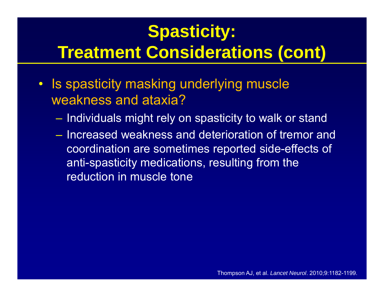# **Spasticity:**

#### **Treatment Considerations (cont)**

- Is spasticity masking underlying muscle weakness and ataxia?
	- $-$  Individuals might rely on spasticity to walk or stand
	- Increased weakness and deterioration of tremor and coordination are sometimes reported side-effects of anti-spasticity medications, resulting from the reduction in muscle tone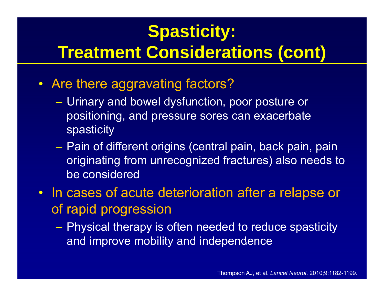# **Spasticity:**

#### **Treatment Considerations (cont)**

- Are there aggravating factors?
	- Urinary and bowel dysfunction, poor posture or positioning, and pressure sores can exacerbate spasticity
	- Pain of different origins (central pain, back pain, pain originating from unrecognized fractures) also needs to be considered
- In cases of acute deterioration after a relapse or of rapid progression
	- $\mathcal{L}_{\mathcal{A}}$  Physical therapy is often needed to reduce spasticity and improve mobility and independence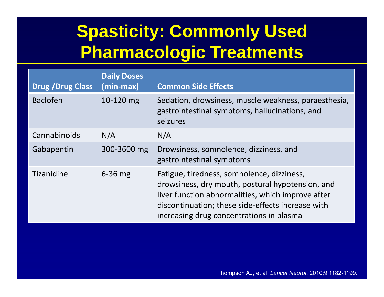# **Spasticity: Commonly Used Pharmacologic Treatments**

| <b>Drug / Drug Class</b> | <b>Daily Doses</b><br>(min-max) | <b>Common Side Effects</b>                                                                                                                                                                                                                           |
|--------------------------|---------------------------------|------------------------------------------------------------------------------------------------------------------------------------------------------------------------------------------------------------------------------------------------------|
| <b>Baclofen</b>          | 10-120 mg                       | Sedation, drowsiness, muscle weakness, paraesthesia,<br>gastrointestinal symptoms, hallucinations, and<br>seizures                                                                                                                                   |
| Cannabinoids             | N/A                             | N/A                                                                                                                                                                                                                                                  |
| Gabapentin               | 300-3600 mg                     | Drowsiness, somnolence, dizziness, and<br>gastrointestinal symptoms                                                                                                                                                                                  |
| Tizanidine               | $6-36$ mg                       | Fatigue, tiredness, somnolence, dizziness,<br>drowsiness, dry mouth, postural hypotension, and<br>liver function abnormalities, which improve after<br>discontinuation; these side-effects increase with<br>increasing drug concentrations in plasma |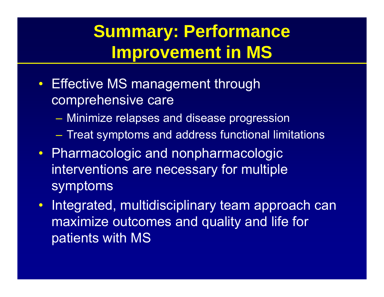## **Summary: Performance Improvement in MS**

- Effective MS management through comprehensive care
	- Minimize relapses and disease progression
	- Treat symptoms and address functional limitations
- Pharmacologic and nonpharmacologic interventions are necessary for multiple symptoms
- •Integrated, multidisciplinary team approach can maximize outcomes and quality and life for patients with MS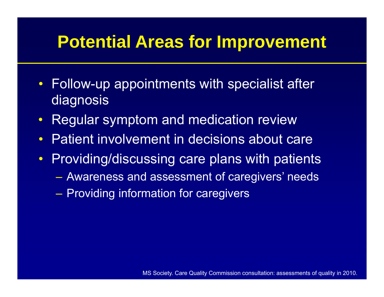#### **Potential Areas for Improvement**

- Follow-up appointments with specialist after diagnosis
- •Regular symptom and medication review
- •Patient involvement in decisions about care
- $\bullet$  Providing/discussing care plans with patients
	- Awareness and assessment of caregivers' needs
	- Providing information for caregivers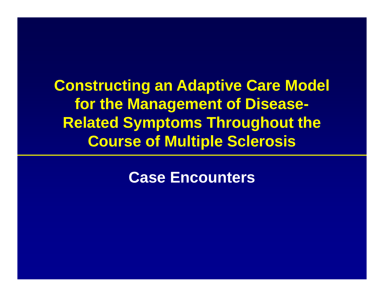**Constructing an Adaptive Care Model for the Management of Disease-Related Symptoms Throughout the Course of Multiple Sclerosis**

**Case Encounters**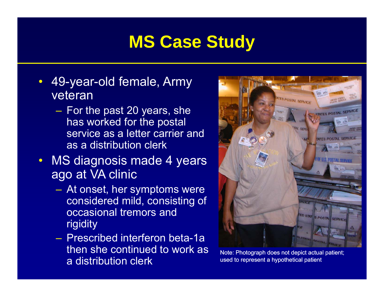#### **MS Case Study**

- $\bullet$  49-year-old female, Army veteran
	- $\mathcal{L}_{\mathcal{A}}$  , and the set of the set of the set of the set of the set of the set of the set of the set of the set of the set of the set of the set of the set of the set of the set of the set of the set of the set of th  $-$  For the past 20 years, she has worked for the postal service as a letter carrier and as a distribution clerk
- MS diagnosis made 4 years ago at VA clinic
	- $\mathcal{L}_{\mathcal{A}}$  , and the set of the set of the set of the set of the set of the set of the set of the set of the set of the set of the set of the set of the set of the set of the set of the set of the set of the set of th At onset, her symptoms were considered mild, consisting of occasional tremors and rigidity
	- Prescribed interferon beta-1a then she continued to work as a distribution clerk



Note: Photograph does not depict actual patient; used to represent a hypothetical patient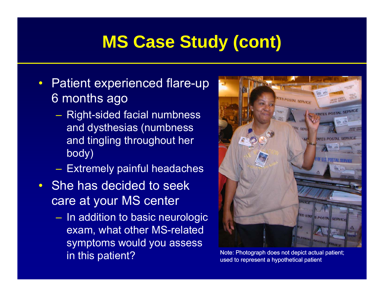#### **MS Case Study (cont)**

- $\bullet$  Patient experienced flare-up 6 months ago
	- $\mathcal{L}_{\mathcal{A}}$ – Right-sided facial numbness and dysthesias (numbness and tingling throughout her body)
	- Extremely painful headaches
- She has decided to seek care at your MS center
	- $-$  In addition to basic neurologic  $\,$ exam, what other MS-related symptoms would you assess in this patient? Note: Photograph does not depict actual patient;<br>used to represent a hypothetical patient